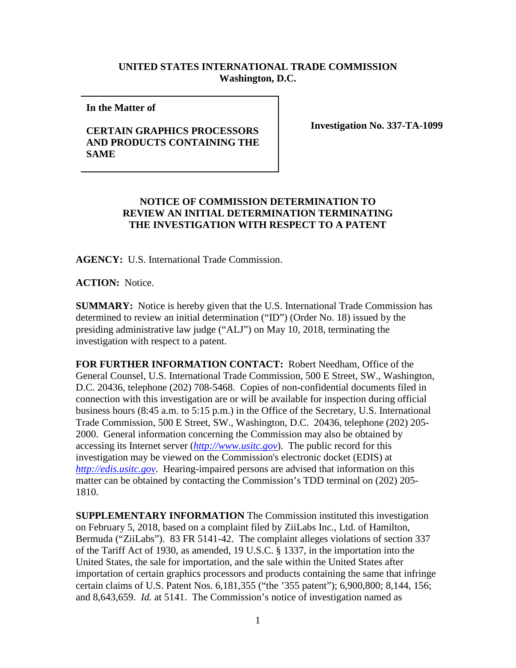## **UNITED STATES INTERNATIONAL TRADE COMMISSION Washington, D.C.**

**In the Matter of** 

## **CERTAIN GRAPHICS PROCESSORS AND PRODUCTS CONTAINING THE SAME**

**Investigation No. 337-TA-1099**

## **NOTICE OF COMMISSION DETERMINATION TO REVIEW AN INITIAL DETERMINATION TERMINATING THE INVESTIGATION WITH RESPECT TO A PATENT**

**AGENCY:** U.S. International Trade Commission.

**ACTION:** Notice.

**SUMMARY:** Notice is hereby given that the U.S. International Trade Commission has determined to review an initial determination ("ID") (Order No. 18) issued by the presiding administrative law judge ("ALJ") on May 10, 2018, terminating the investigation with respect to a patent.

**FOR FURTHER INFORMATION CONTACT:** Robert Needham, Office of the General Counsel, U.S. International Trade Commission, 500 E Street, SW., Washington, D.C. 20436, telephone (202) 708-5468. Copies of non-confidential documents filed in connection with this investigation are or will be available for inspection during official business hours (8:45 a.m. to 5:15 p.m.) in the Office of the Secretary, U.S. International Trade Commission, 500 E Street, SW., Washington, D.C. 20436, telephone (202) 205- 2000. General information concerning the Commission may also be obtained by accessing its Internet server (*[http://www.usitc.gov](http://www.usitc.gov/)*). The public record for this investigation may be viewed on the Commission's electronic docket (EDIS) at *[http://edis.usitc.gov](http://edis.usitc.gov/)*. Hearing-impaired persons are advised that information on this matter can be obtained by contacting the Commission's TDD terminal on (202) 205- 1810.

**SUPPLEMENTARY INFORMATION** The Commission instituted this investigation on February 5, 2018, based on a complaint filed by ZiiLabs Inc., Ltd. of Hamilton, Bermuda ("ZiiLabs"). 83 FR 5141-42. The complaint alleges violations of section 337 of the Tariff Act of 1930, as amended, 19 U.S.C. § 1337, in the importation into the United States, the sale for importation, and the sale within the United States after importation of certain graphics processors and products containing the same that infringe certain claims of U.S. Patent Nos. 6,181,355 ("the '355 patent"); 6,900,800; 8,144, 156; and 8,643,659. *Id.* at 5141. The Commission's notice of investigation named as